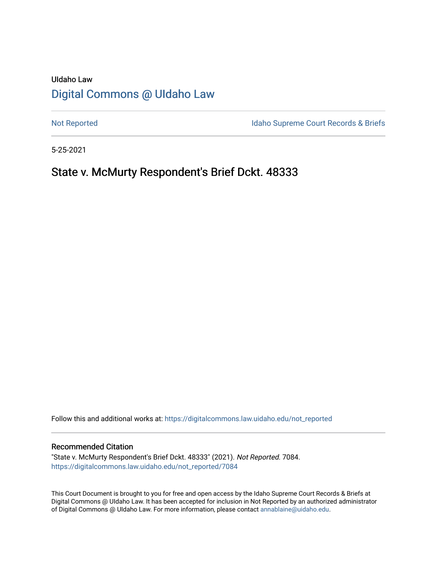# UIdaho Law [Digital Commons @ UIdaho Law](https://digitalcommons.law.uidaho.edu/)

[Not Reported](https://digitalcommons.law.uidaho.edu/not_reported) **Idaho Supreme Court Records & Briefs** 

5-25-2021

# State v. McMurty Respondent's Brief Dckt. 48333

Follow this and additional works at: [https://digitalcommons.law.uidaho.edu/not\\_reported](https://digitalcommons.law.uidaho.edu/not_reported?utm_source=digitalcommons.law.uidaho.edu%2Fnot_reported%2F7084&utm_medium=PDF&utm_campaign=PDFCoverPages) 

#### Recommended Citation

"State v. McMurty Respondent's Brief Dckt. 48333" (2021). Not Reported. 7084. [https://digitalcommons.law.uidaho.edu/not\\_reported/7084](https://digitalcommons.law.uidaho.edu/not_reported/7084?utm_source=digitalcommons.law.uidaho.edu%2Fnot_reported%2F7084&utm_medium=PDF&utm_campaign=PDFCoverPages)

This Court Document is brought to you for free and open access by the Idaho Supreme Court Records & Briefs at Digital Commons @ UIdaho Law. It has been accepted for inclusion in Not Reported by an authorized administrator of Digital Commons @ UIdaho Law. For more information, please contact [annablaine@uidaho.edu](mailto:annablaine@uidaho.edu).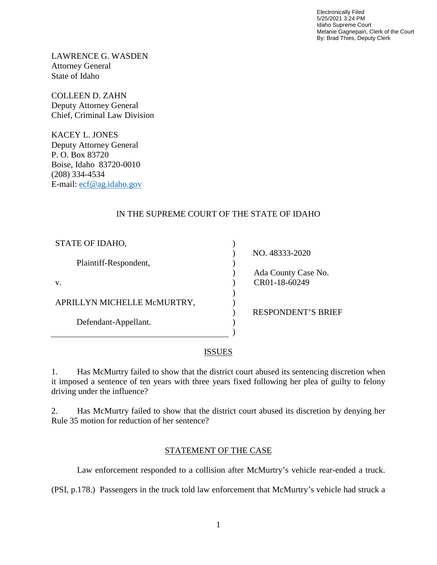Electronically Filed 5/25/2021 3:24 PM Idaho Supreme Court Melanie Gagnepain, Clerk of the Court By: Brad Thies, Deputy Clerk

LAWRENCE G. WASDEN Attorney General State of Idaho

COLLEEN D. ZAHN Deputy Attorney General Chief, Criminal Law Division

KACEY L. JONES Deputy Attorney General P. O. Box 83720 Boise, Idaho 83720-0010 (208) 334-4534 E-mail: [ecf@ag.idaho.gov](mailto:ecf@ag.idaho.gov)

# IN THE SUPREME COURT OF THE STATE OF IDAHO

| STATE OF IDAHO,             |                           |
|-----------------------------|---------------------------|
|                             | NO. 48333-2020            |
| Plaintiff-Respondent,       |                           |
|                             | Ada County Case No.       |
| V.                          | CR01-18-60249             |
|                             |                           |
| APRILLYN MICHELLE McMURTRY, |                           |
|                             | <b>RESPONDENT'S BRIEF</b> |
| Defendant-Appellant.        |                           |
|                             |                           |

## **ISSUES**

1. Has McMurtry failed to show that the district court abused its sentencing discretion when it imposed a sentence of ten years with three years fixed following her plea of guilty to felony driving under the influence?

2. Has McMurtry failed to show that the district court abused its discretion by denying her Rule 35 motion for reduction of her sentence?

## STATEMENT OF THE CASE

Law enforcement responded to a collision after McMurtry's vehicle rear-ended a truck.

(PSI, p.178.) Passengers in the truck told law enforcement that McMurtry's vehicle had struck a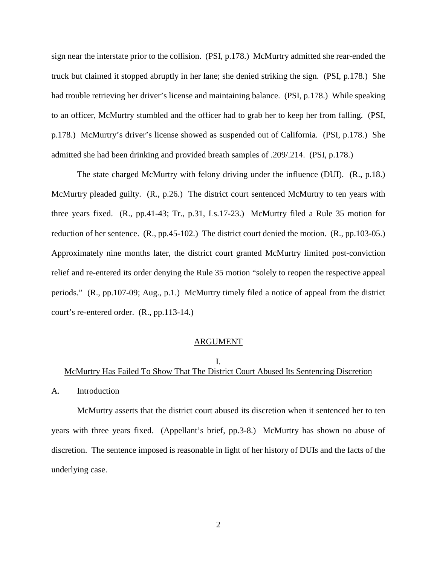sign near the interstate prior to the collision. (PSI, p.178.) McMurtry admitted she rear-ended the truck but claimed it stopped abruptly in her lane; she denied striking the sign. (PSI, p.178.) She had trouble retrieving her driver's license and maintaining balance. (PSI, p.178.) While speaking to an officer, McMurtry stumbled and the officer had to grab her to keep her from falling. (PSI, p.178.) McMurtry's driver's license showed as suspended out of California. (PSI, p.178.) She admitted she had been drinking and provided breath samples of .209/.214. (PSI, p.178.)

The state charged McMurtry with felony driving under the influence (DUI). (R., p.18.) McMurtry pleaded guilty. (R., p.26.) The district court sentenced McMurtry to ten years with three years fixed. (R., pp.41-43; Tr., p.31, Ls.17-23.) McMurtry filed a Rule 35 motion for reduction of her sentence. (R., pp.45-102.) The district court denied the motion. (R., pp.103-05.) Approximately nine months later, the district court granted McMurtry limited post-conviction relief and re-entered its order denying the Rule 35 motion "solely to reopen the respective appeal periods." (R., pp.107-09; Aug., p.1.) McMurtry timely filed a notice of appeal from the district court's re-entered order. (R., pp.113-14.)

#### ARGUMENT

#### I.

### McMurtry Has Failed To Show That The District Court Abused Its Sentencing Discretion

A. Introduction

McMurtry asserts that the district court abused its discretion when it sentenced her to ten years with three years fixed. (Appellant's brief, pp.3-8.) McMurtry has shown no abuse of discretion. The sentence imposed is reasonable in light of her history of DUIs and the facts of the underlying case.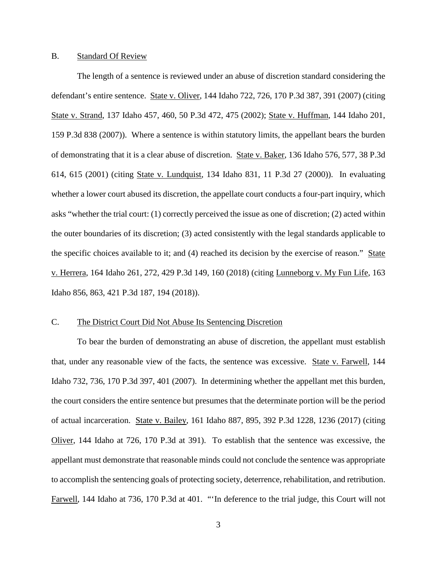#### B. Standard Of Review

The length of a sentence is reviewed under an abuse of discretion standard considering the defendant's entire sentence. State v. Oliver, 144 Idaho 722, 726, 170 P.3d 387, 391 (2007) (citing State v. Strand, 137 Idaho 457, 460, 50 P.3d 472, 475 (2002); State v. Huffman, 144 Idaho 201, 159 P.3d 838 (2007)). Where a sentence is within statutory limits, the appellant bears the burden of demonstrating that it is a clear abuse of discretion. State v. Baker, 136 Idaho 576, 577, 38 P.3d 614, 615 (2001) (citing State v. Lundquist, 134 Idaho 831, 11 P.3d 27 (2000)). In evaluating whether a lower court abused its discretion, the appellate court conducts a four-part inquiry, which asks "whether the trial court: (1) correctly perceived the issue as one of discretion; (2) acted within the outer boundaries of its discretion; (3) acted consistently with the legal standards applicable to the specific choices available to it; and (4) reached its decision by the exercise of reason." State v. Herrera, 164 Idaho 261, 272, 429 P.3d 149, 160 (2018) (citing Lunneborg v. My Fun Life, 163 Idaho 856, 863, 421 P.3d 187, 194 (2018)).

### C. The District Court Did Not Abuse Its Sentencing Discretion

To bear the burden of demonstrating an abuse of discretion, the appellant must establish that, under any reasonable view of the facts, the sentence was excessive. State v. Farwell, 144 Idaho 732, 736, 170 P.3d 397, 401 (2007). In determining whether the appellant met this burden, the court considers the entire sentence but presumes that the determinate portion will be the period of actual incarceration. State v. Bailey, 161 Idaho 887, 895, 392 P.3d 1228, 1236 (2017) (citing Oliver, 144 Idaho at 726, 170 P.3d at 391). To establish that the sentence was excessive, the appellant must demonstrate that reasonable minds could not conclude the sentence was appropriate to accomplish the sentencing goals of protecting society, deterrence, rehabilitation, and retribution. Farwell, 144 Idaho at 736, 170 P.3d at 401. "'In deference to the trial judge, this Court will not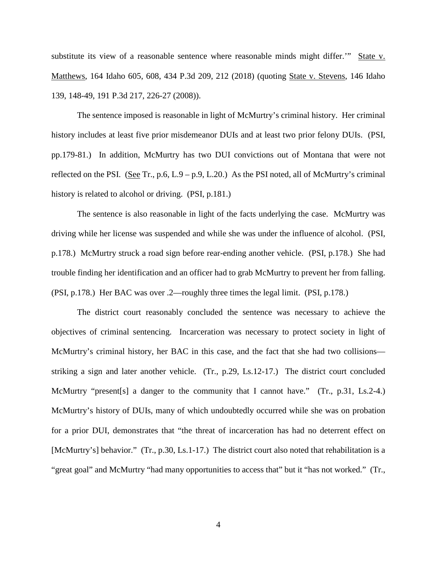substitute its view of a reasonable sentence where reasonable minds might differ.'" State v. Matthews, 164 Idaho 605, 608, 434 P.3d 209, 212 (2018) (quoting State v. Stevens, 146 Idaho 139, 148-49, 191 P.3d 217, 226-27 (2008)).

The sentence imposed is reasonable in light of McMurtry's criminal history. Her criminal history includes at least five prior misdemeanor DUIs and at least two prior felony DUIs. (PSI, pp.179-81.) In addition, McMurtry has two DUI convictions out of Montana that were not reflected on the PSI. (See Tr., p.6, L.9 – p.9, L.20.) As the PSI noted, all of McMurtry's criminal history is related to alcohol or driving. (PSI, p.181.)

The sentence is also reasonable in light of the facts underlying the case. McMurtry was driving while her license was suspended and while she was under the influence of alcohol. (PSI, p.178.) McMurtry struck a road sign before rear-ending another vehicle. (PSI, p.178.) She had trouble finding her identification and an officer had to grab McMurtry to prevent her from falling. (PSI, p.178.) Her BAC was over .2—roughly three times the legal limit. (PSI, p.178.)

The district court reasonably concluded the sentence was necessary to achieve the objectives of criminal sentencing. Incarceration was necessary to protect society in light of McMurtry's criminal history, her BAC in this case, and the fact that she had two collisions striking a sign and later another vehicle. (Tr., p.29, Ls.12-17.) The district court concluded McMurtry "present[s] a danger to the community that I cannot have." (Tr., p.31, Ls.2-4.) McMurtry's history of DUIs, many of which undoubtedly occurred while she was on probation for a prior DUI, demonstrates that "the threat of incarceration has had no deterrent effect on [McMurtry's] behavior." (Tr., p.30, Ls.1-17.) The district court also noted that rehabilitation is a "great goal" and McMurtry "had many opportunities to access that" but it "has not worked." (Tr.,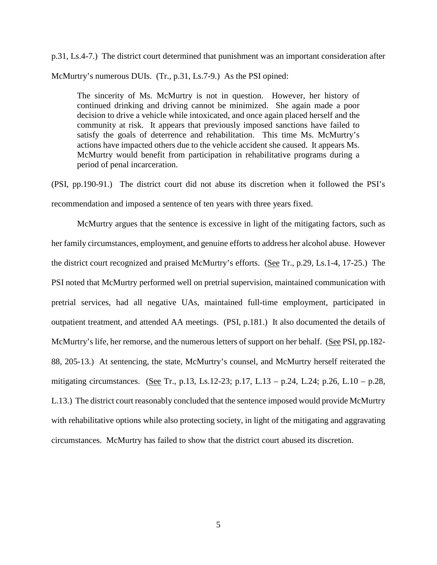p.31, Ls.4-7.) The district court determined that punishment was an important consideration after McMurtry's numerous DUIs. (Tr., p.31, Ls.7-9.) As the PSI opined:

The sincerity of Ms. McMurtry is not in question. However, her history of continued drinking and driving cannot be minimized. She again made a poor decision to drive a vehicle while intoxicated, and once again placed herself and the community at risk. It appears that previously imposed sanctions have failed to satisfy the goals of deterrence and rehabilitation. This time Ms. McMurtry's actions have impacted others due to the vehicle accident she caused. It appears Ms. McMurtry would benefit from participation in rehabilitative programs during a period of penal incarceration.

(PSI, pp.190-91.) The district court did not abuse its discretion when it followed the PSI's recommendation and imposed a sentence of ten years with three years fixed.

McMurtry argues that the sentence is excessive in light of the mitigating factors, such as her family circumstances, employment, and genuine efforts to address her alcohol abuse. However the district court recognized and praised McMurtry's efforts. (See Tr., p.29, Ls.1-4, 17-25.) The PSI noted that McMurtry performed well on pretrial supervision, maintained communication with pretrial services, had all negative UAs, maintained full-time employment, participated in outpatient treatment, and attended AA meetings. (PSI, p.181.) It also documented the details of McMurtry's life, her remorse, and the numerous letters of support on her behalf. (See PSI, pp.182- 88, 205-13.) At sentencing, the state, McMurtry's counsel, and McMurtry herself reiterated the mitigating circumstances. (See Tr., p.13, Ls.12-23; p.17, L.13 – p.24, L.24; p.26, L.10 – p.28, L.13.) The district court reasonably concluded that the sentence imposed would provide McMurtry with rehabilitative options while also protecting society, in light of the mitigating and aggravating circumstances. McMurtry has failed to show that the district court abused its discretion.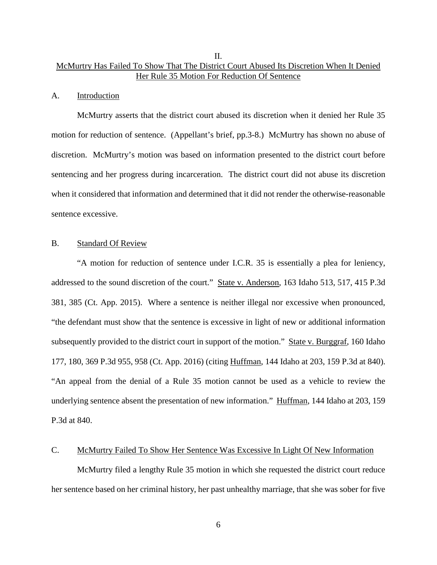## II. McMurtry Has Failed To Show That The District Court Abused Its Discretion When It Denied Her Rule 35 Motion For Reduction Of Sentence

#### A. Introduction

McMurtry asserts that the district court abused its discretion when it denied her Rule 35 motion for reduction of sentence. (Appellant's brief, pp.3-8.) McMurtry has shown no abuse of discretion. McMurtry's motion was based on information presented to the district court before sentencing and her progress during incarceration. The district court did not abuse its discretion when it considered that information and determined that it did not render the otherwise-reasonable sentence excessive.

#### B. Standard Of Review

"A motion for reduction of sentence under I.C.R. 35 is essentially a plea for leniency, addressed to the sound discretion of the court." State v. Anderson, 163 Idaho 513, 517, 415 P.3d 381, 385 (Ct. App. 2015). Where a sentence is neither illegal nor excessive when pronounced, "the defendant must show that the sentence is excessive in light of new or additional information subsequently provided to the district court in support of the motion." State v. Burggraf, 160 Idaho 177, 180, 369 P.3d 955, 958 (Ct. App. 2016) (citing Huffman, 144 Idaho at 203, 159 P.3d at 840). "An appeal from the denial of a Rule 35 motion cannot be used as a vehicle to review the underlying sentence absent the presentation of new information." Huffman, 144 Idaho at 203, 159 P.3d at 840.

#### C. McMurtry Failed To Show Her Sentence Was Excessive In Light Of New Information

McMurtry filed a lengthy Rule 35 motion in which she requested the district court reduce her sentence based on her criminal history, her past unhealthy marriage, that she was sober for five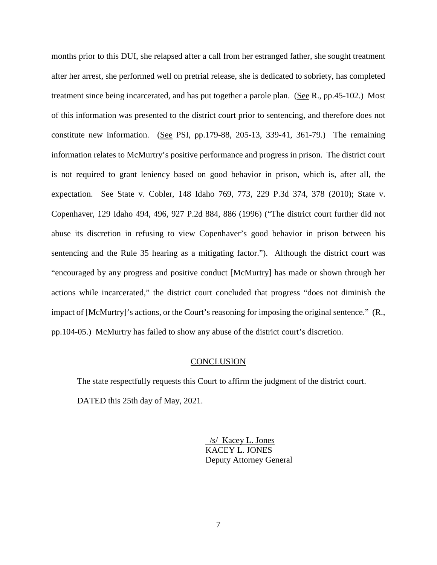months prior to this DUI, she relapsed after a call from her estranged father, she sought treatment after her arrest, she performed well on pretrial release, she is dedicated to sobriety, has completed treatment since being incarcerated, and has put together a parole plan. (See R., pp.45-102.) Most of this information was presented to the district court prior to sentencing, and therefore does not constitute new information. (See PSI, pp.179-88, 205-13, 339-41, 361-79.) The remaining information relates to McMurtry's positive performance and progress in prison. The district court is not required to grant leniency based on good behavior in prison, which is, after all, the expectation. See State v. Cobler, 148 Idaho 769, 773, 229 P.3d 374, 378 (2010); State v. Copenhaver, 129 Idaho 494, 496, 927 P.2d 884, 886 (1996) ("The district court further did not abuse its discretion in refusing to view Copenhaver's good behavior in prison between his sentencing and the Rule 35 hearing as a mitigating factor."). Although the district court was "encouraged by any progress and positive conduct [McMurtry] has made or shown through her actions while incarcerated," the district court concluded that progress "does not diminish the impact of [McMurtry]'s actions, or the Court's reasoning for imposing the original sentence." (R., pp.104-05.) McMurtry has failed to show any abuse of the district court's discretion.

#### **CONCLUSION**

The state respectfully requests this Court to affirm the judgment of the district court. DATED this 25th day of May, 2021.

> /s/ Kacey L. Jones KACEY L. JONES Deputy Attorney General